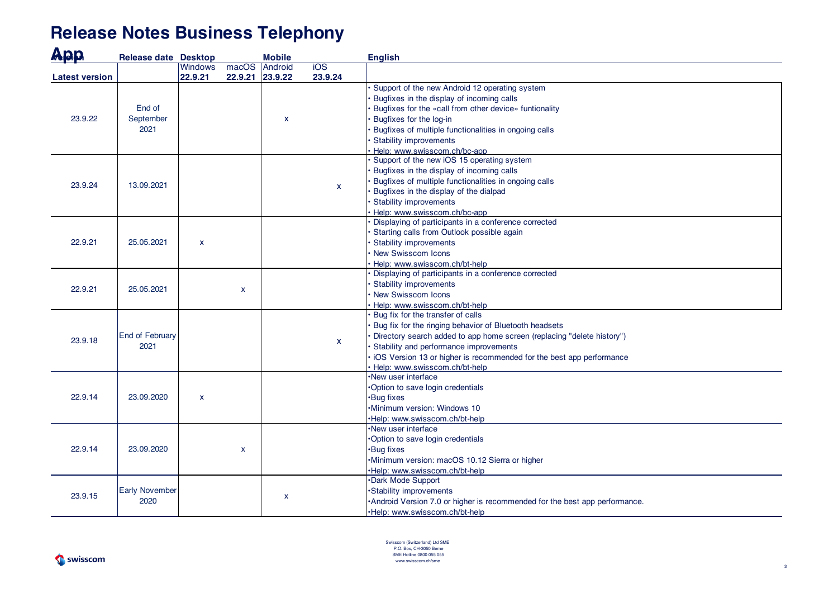## **Release Notes Business Telephony**

| App                   | <b>Release date Desktop</b>    |                |       | <b>Mobile</b>      |                                  | <b>English</b>                                                                       |
|-----------------------|--------------------------------|----------------|-------|--------------------|----------------------------------|--------------------------------------------------------------------------------------|
|                       |                                | <b>Windows</b> | macOS | <b>Android</b>     | $\overline{10S}$                 |                                                                                      |
| <b>Latest version</b> |                                | 22.9.21        |       | 22.9.21 23.9.22    | 23.9.24                          |                                                                                      |
|                       |                                |                |       |                    |                                  | Support of the new Android 12 operating system                                       |
|                       |                                |                |       |                    |                                  | Bugfixes in the display of incoming calls                                            |
|                       | End of                         |                |       |                    |                                  | Bugfixes for the «call from other device» funtionality                               |
| 23.9.22               | September                      |                |       | $\pmb{\mathsf{X}}$ |                                  | Bugfixes for the log-in                                                              |
|                       | 2021                           |                |       |                    |                                  | Bugfixes of multiple functionalities in ongoing calls                                |
|                       |                                |                |       |                    |                                  | Stability improvements                                                               |
|                       |                                |                |       |                    |                                  | Help: www.swisscom.ch/bc-app                                                         |
|                       | 13.09.2021                     |                |       |                    |                                  | Support of the new iOS 15 operating system                                           |
|                       |                                |                |       |                    |                                  | Bugfixes in the display of incoming calls                                            |
| 23.9.24               |                                |                |       |                    | $\mathbf{x}$                     | Bugfixes of multiple functionalities in ongoing calls                                |
|                       |                                |                |       |                    |                                  | Bugfixes in the display of the dialpad                                               |
|                       |                                |                |       |                    |                                  | <b>Stability improvements</b>                                                        |
|                       |                                |                |       |                    |                                  | Help: www.swisscom.ch/bc-app<br>Displaying of participants in a conference corrected |
|                       |                                |                |       |                    |                                  | Starting calls from Outlook possible again                                           |
| 22.9.21               | 25.05.2021                     | $\pmb{\times}$ |       |                    |                                  | Stability improvements                                                               |
|                       |                                |                |       |                    |                                  | New Swisscom Icons                                                                   |
|                       |                                |                |       |                    |                                  | Help: www.swisscom.ch/bt-help                                                        |
|                       |                                |                |       |                    |                                  | Displaying of participants in a conference corrected                                 |
|                       |                                | $\mathbf{x}$   |       |                    |                                  | Stability improvements                                                               |
| 22.9.21               | 25.05.2021                     |                |       |                    |                                  | New Swisscom Icons                                                                   |
|                       |                                |                |       |                    |                                  | Help: www.swisscom.ch/bt-help                                                        |
|                       |                                |                |       |                    |                                  | Bug fix for the transfer of calls                                                    |
|                       | <b>End of February</b><br>2021 |                |       |                    |                                  | Bug fix for the ringing behavior of Bluetooth headsets                               |
|                       |                                |                |       |                    |                                  | Directory search added to app home screen (replacing "delete history")               |
| 23.9.18               |                                |                |       |                    | $\mathbf{x}$                     | Stability and performance improvements                                               |
|                       |                                |                |       |                    |                                  | iOS Version 13 or higher is recommended for the best app performance                 |
|                       |                                |                |       |                    |                                  | Help: www.swisscom.ch/bt-help                                                        |
|                       |                                |                |       |                    |                                  | New user interface                                                                   |
| 22.9.14               | 23.09.2020                     |                |       |                    |                                  | Option to save login credentials                                                     |
|                       |                                | $\pmb{\times}$ |       |                    | ·Bug fixes                       |                                                                                      |
|                       |                                |                |       |                    |                                  | Minimum version: Windows 10                                                          |
|                       |                                |                |       |                    |                                  | Help: www.swisscom.ch/bt-help                                                        |
|                       | 23.09.2020                     |                |       |                    |                                  | New user interface                                                                   |
|                       |                                | $\mathbf{x}$   |       |                    | Option to save login credentials |                                                                                      |
| 22.9.14               |                                |                |       |                    | <b>Bug fixes</b>                 |                                                                                      |
|                       |                                |                |       |                    |                                  | Minimum version: macOS 10.12 Sierra or higher                                        |
|                       |                                |                |       |                    |                                  | Help: www.swisscom.ch/bt-help                                                        |
| 23.9.15               |                                |                |       |                    |                                  | Dark Mode Support                                                                    |
|                       | <b>Early November</b><br>2020  |                |       |                    |                                  | ·Stability improvements                                                              |
|                       |                                |                |       | $\pmb{\mathsf{x}}$ |                                  | •Android Version 7.0 or higher is recommended for the best app performance.          |
|                       |                                |                |       |                    |                                  | ·Help: www.swisscom.ch/bt-help                                                       |

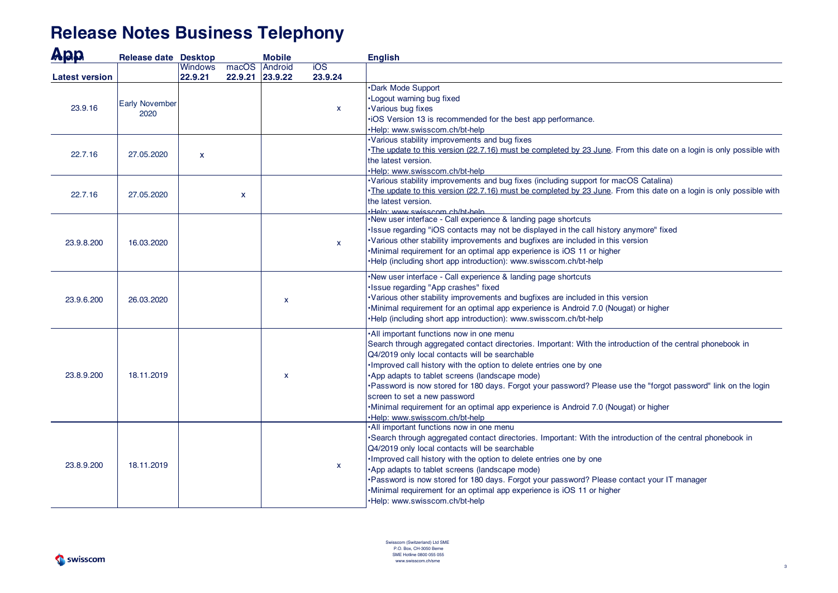## **Release Notes Business Telephony**

| App                   | <b>Release date Desktop</b>   |                           |       | <b>Mobile</b>              |                             | <b>English</b>                                                                                                                                                                                                                                                                                                                                                                                                                                                                                                                                                                                                  |
|-----------------------|-------------------------------|---------------------------|-------|----------------------------|-----------------------------|-----------------------------------------------------------------------------------------------------------------------------------------------------------------------------------------------------------------------------------------------------------------------------------------------------------------------------------------------------------------------------------------------------------------------------------------------------------------------------------------------------------------------------------------------------------------------------------------------------------------|
| <b>Latest version</b> |                               | <b>Windows</b><br>22.9.21 | macOS | Android<br>22.9.21 23.9.22 | $\overline{10S}$<br>23.9.24 |                                                                                                                                                                                                                                                                                                                                                                                                                                                                                                                                                                                                                 |
| 23.9.16               | <b>Early November</b><br>2020 |                           |       |                            | x                           | Dark Mode Support<br>·Logout warning bug fixed<br>·Various bug fixes<br>·iOS Version 13 is recommended for the best app performance.<br>Help: www.swisscom.ch/bt-help                                                                                                                                                                                                                                                                                                                                                                                                                                           |
| 22.7.16               | 27.05.2020                    | $\mathbf{x}$              |       |                            |                             | Various stability improvements and bug fixes<br>The update to this version (22.7.16) must be completed by 23 June. From this date on a login is only possible with<br>the latest version.<br>Help: www.swisscom.ch/bt-help                                                                                                                                                                                                                                                                                                                                                                                      |
| 22.7.16               | 27.05.2020                    |                           | X.    |                            |                             | ·Various stability improvements and bug fixes (including support for macOS Catalina)<br>The update to this version (22.7.16) must be completed by 23 June. From this date on a login is only possible with<br>the latest version.<br>Help: www.swisscom.ch/ht-help                                                                                                                                                                                                                                                                                                                                              |
| 23.9.8.200            | 16.03.2020                    |                           |       |                            | $\mathbf{x}$                | •New user interface - Call experience & landing page shortcuts<br>·Issue regarding "iOS contacts may not be displayed in the call history anymore" fixed<br>·Various other stability improvements and bugfixes are included in this version<br>·Minimal requirement for an optimal app experience is iOS 11 or higher<br>•Help (including short app introduction): www.swisscom.ch/bt-help                                                                                                                                                                                                                      |
| 23.9.6.200            | 26.03.2020                    |                           |       | X                          |                             | •New user interface - Call experience & landing page shortcuts<br><b>Issue regarding "App crashes" fixed</b><br>Various other stability improvements and bugfixes are included in this version<br>Minimal requirement for an optimal app experience is Android 7.0 (Nougat) or higher<br>•Help (including short app introduction): www.swisscom.ch/bt-help                                                                                                                                                                                                                                                      |
| 23.8.9.200            | 18.11.2019                    |                           |       | X                          |                             | .All important functions now in one menu<br>Search through aggregated contact directories. Important: With the introduction of the central phonebook in<br>Q4/2019 only local contacts will be searchable<br>. Improved call history with the option to delete entries one by one<br>App adapts to tablet screens (landscape mode)<br>. Password is now stored for 180 days. Forgot your password? Please use the "forgot password" link on the login<br>screen to set a new password<br>.Minimal requirement for an optimal app experience is Android 7.0 (Nougat) or higher<br>·Help: www.swisscom.ch/bt-help |
| 23.8.9.200            | 18.11.2019                    |                           |       |                            | x                           | . All important functions now in one menu<br>Search through aggregated contact directories. Important: With the introduction of the central phonebook in<br>Q4/2019 only local contacts will be searchable<br>. Improved call history with the option to delete entries one by one<br>•App adapts to tablet screens (landscape mode)<br>•Password is now stored for 180 days. Forgot your password? Please contact your IT manager<br>Minimal requirement for an optimal app experience is iOS 11 or higher<br>·Help: www.swisscom.ch/bt-help                                                                   |